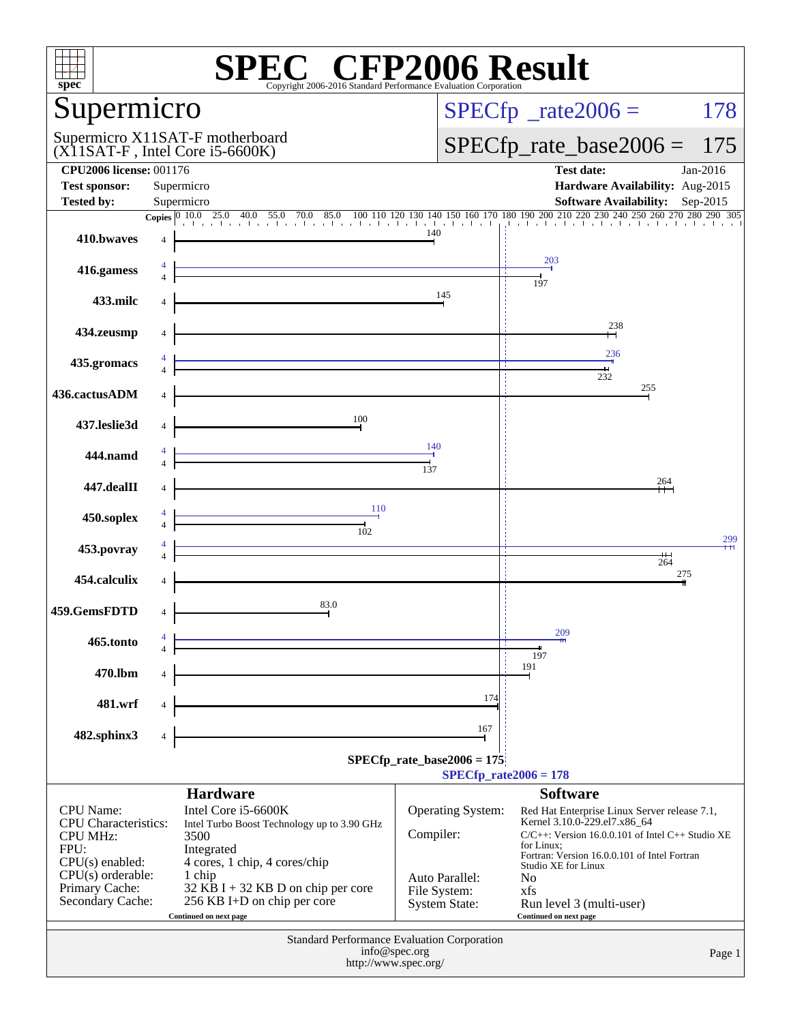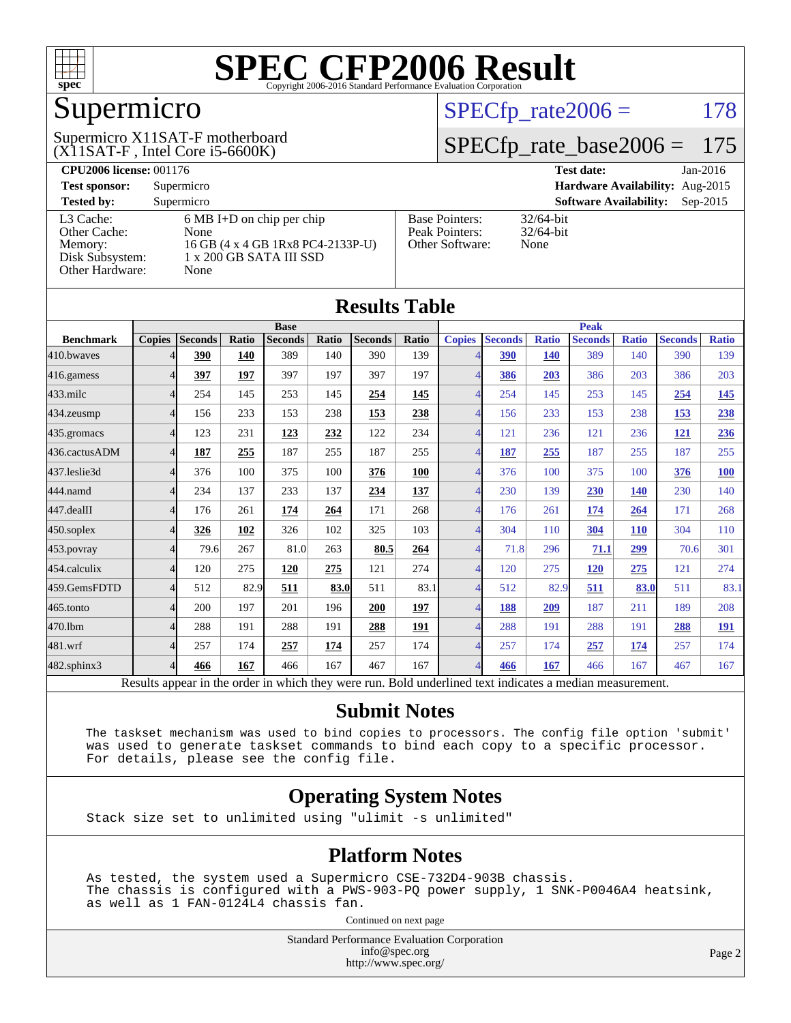![](_page_1_Picture_0.jpeg)

## Supermicro

 $(X11SAT-F, Intel Core i5-6600K)$ Supermicro X11SAT-F motherboard  $SPECTp_rate2006 = 178$ 

#### [SPECfp\\_rate\\_base2006 =](http://www.spec.org/auto/cpu2006/Docs/result-fields.html#SPECfpratebase2006) 175

| <b>CPU2006 license: 001176</b>       |                                                                                  |                                                            | <b>Test date:</b><br>$Jan-2016$             |
|--------------------------------------|----------------------------------------------------------------------------------|------------------------------------------------------------|---------------------------------------------|
| <b>Test sponsor:</b>                 | Supermicro                                                                       | <b>Hardware Availability:</b> Aug-2015                     |                                             |
| <b>Tested by:</b>                    | Supermicro                                                                       |                                                            | <b>Software Availability:</b><br>$Sep-2015$ |
| L3 Cache:<br>Other Cache:<br>Memory: | $6 \text{ MB I+D}$ on chip per chip<br>None<br>16 GB (4 x 4 GB 1Rx8 PC4-2133P-U) | <b>Base Pointers:</b><br>Peak Pointers:<br>Other Software: | $32/64$ -bit<br>$32/64$ -bit<br>None        |
| Disk Subsystem:<br>Other Hardware:   | 1 x 200 GB SATA III SSD<br>None                                                  |                                                            |                                             |

**[Results Table](http://www.spec.org/auto/cpu2006/Docs/result-fields.html#ResultsTable)**

| Results Table    |               |                                                                                                          |       |                |             |                |              |                          |                |              |                |              |                |              |
|------------------|---------------|----------------------------------------------------------------------------------------------------------|-------|----------------|-------------|----------------|--------------|--------------------------|----------------|--------------|----------------|--------------|----------------|--------------|
|                  | <b>Base</b>   |                                                                                                          |       |                | <b>Peak</b> |                |              |                          |                |              |                |              |                |              |
| <b>Benchmark</b> | <b>Copies</b> | <b>Seconds</b>                                                                                           | Ratio | <b>Seconds</b> | Ratio       | <b>Seconds</b> | <b>Ratio</b> | <b>Copies</b>            | <b>Seconds</b> | <b>Ratio</b> | <b>Seconds</b> | <b>Ratio</b> | <b>Seconds</b> | <b>Ratio</b> |
| 410.bwaves       |               | 390                                                                                                      | 140   | 389            | 140         | 390            | 139          |                          | 390            | 140          | 389            | 140          | 390            | 139          |
| 416.gamess       |               | 397                                                                                                      | 197   | 397            | 197         | 397            | 197          | 4                        | 386            | 203          | 386            | 203          | 386            | 203          |
| 433.milc         |               | 254                                                                                                      | 145   | 253            | 145         | 254            | 145          |                          | 254            | 145          | 253            | 145          | <u>254</u>     | <u>145</u>   |
| 434.zeusmp       | Δ             | 156                                                                                                      | 233   | 153            | 238         | 153            | 238          | $\overline{\mathcal{A}}$ | 156            | 233          | 153            | 238          | 153            | 238          |
| 435.gromacs      | 4             | 123                                                                                                      | 231   | 123            | 232         | 122            | 234          | $\overline{\mathcal{A}}$ | 121            | 236          | 121            | 236          | <b>121</b>     | 236          |
| 436.cactusADM    | 4             | 187                                                                                                      | 255   | 187            | 255         | 187            | 255          | 4                        | 187            | 255          | 187            | 255          | 187            | 255          |
| 437.leslie3d     | 4             | 376                                                                                                      | 100   | 375            | 100         | 376            | 100          | $\overline{\mathcal{A}}$ | 376            | 100          | 375            | 100          | 376            | <b>100</b>   |
| 444.namd         |               | 234                                                                                                      | 137   | 233            | 137         | 234            | 137          |                          | 230            | 139          | 230            | 140          | 230            | 140          |
| 447.dealII       | 4             | 176                                                                                                      | 261   | 174            | 264         | 171            | 268          | $\overline{\mathcal{A}}$ | 176            | 261          | 174            | 264          | 171            | 268          |
| 450.soplex       | Δ             | 326                                                                                                      | 102   | 326            | 102         | 325            | 103          | $\Delta$                 | 304            | 110          | 304            | <b>110</b>   | 304            | 110          |
| 453.povray       | 4             | 79.6                                                                                                     | 267   | 81.0           | 263         | 80.5           | 264          | $\overline{4}$           | 71.8           | 296          | 71.1           | 299          | 70.6           | 301          |
| 454.calculix     | 4             | 120                                                                                                      | 275   | 120            | 275         | 121            | 274          | $\overline{\mathcal{A}}$ | 120            | 275          | <b>120</b>     | 275          | 121            | 274          |
| 459.GemsFDTD     |               | 512                                                                                                      | 82.9  | 511            | 83.0        | 511            | 83.1         | $\overline{\mathcal{A}}$ | 512            | 82.9         | 511            | 83.0         | 511            | 83.1         |
| 465.tonto        | Δ             | 200                                                                                                      | 197   | 201            | 196         | 200            | <u>197</u>   | $\overline{\mathcal{A}}$ | 188            | 209          | 187            | 211          | 189            | 208          |
| 470.1bm          | 4             | 288                                                                                                      | 191   | 288            | 191         | 288            | 191          | 4                        | 288            | 191          | 288            | 191          | 288            | <u>191</u>   |
| 481.wrf          | 4             | 257                                                                                                      | 174   | 257            | 174         | 257            | 174          | $\overline{4}$           | 257            | 174          | 257            | 174          | 257            | 174          |
| 482.sphinx3      | 4             | 466                                                                                                      | 167   | 466            | 167         | 467            | 167          | $\overline{A}$           | 466            | 167          | 466            | 167          | 467            | 167          |
|                  |               | Results appear in the order in which they were run. Bold underlined text indicates a median measurement. |       |                |             |                |              |                          |                |              |                |              |                |              |

**[Submit Notes](http://www.spec.org/auto/cpu2006/Docs/result-fields.html#SubmitNotes)**

 The taskset mechanism was used to bind copies to processors. The config file option 'submit' was used to generate taskset commands to bind each copy to a specific processor. For details, please see the config file.

#### **[Operating System Notes](http://www.spec.org/auto/cpu2006/Docs/result-fields.html#OperatingSystemNotes)**

Stack size set to unlimited using "ulimit -s unlimited"

#### **[Platform Notes](http://www.spec.org/auto/cpu2006/Docs/result-fields.html#PlatformNotes)**

 As tested, the system used a Supermicro CSE-732D4-903B chassis. The chassis is configured with a PWS-903-PQ power supply, 1 SNK-P0046A4 heatsink, as well as 1 FAN-0124L4 chassis fan.

Continued on next page

Standard Performance Evaluation Corporation [info@spec.org](mailto:info@spec.org) <http://www.spec.org/>

Page 2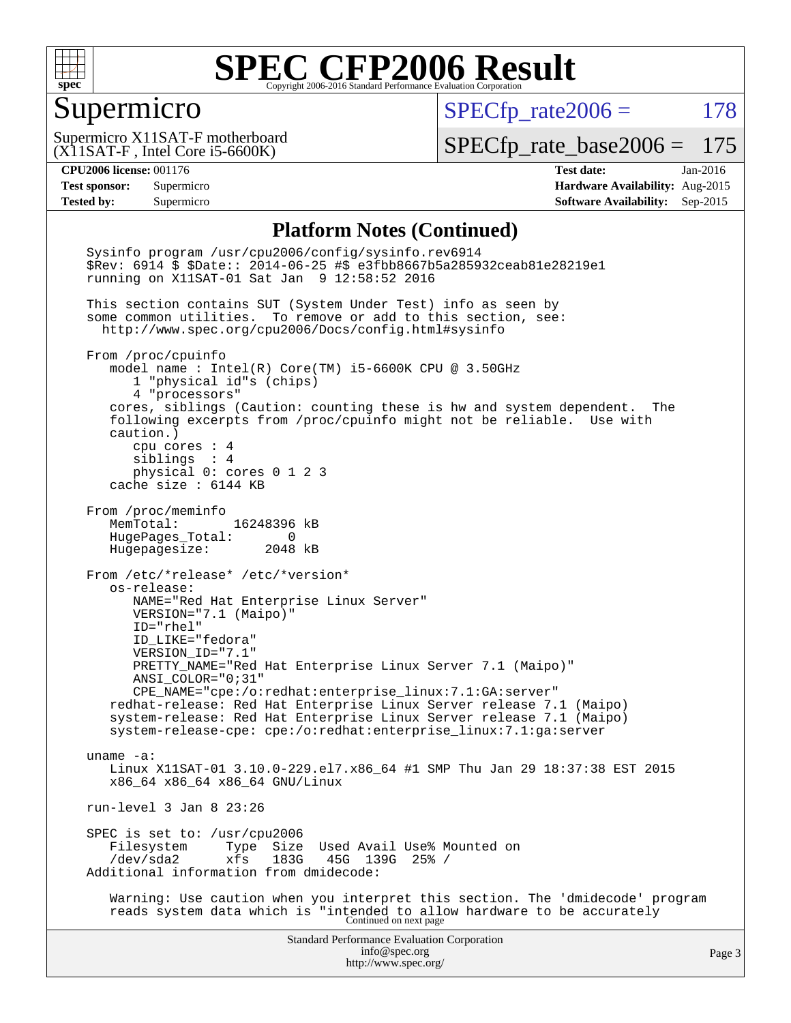![](_page_2_Picture_0.jpeg)

#### Supermicro

 $SPECTp_rate2006 = 178$ 

(X11SAT-F , Intel Core i5-6600K) Supermicro X11SAT-F motherboard

[SPECfp\\_rate\\_base2006 =](http://www.spec.org/auto/cpu2006/Docs/result-fields.html#SPECfpratebase2006) 175

**[CPU2006 license:](http://www.spec.org/auto/cpu2006/Docs/result-fields.html#CPU2006license)** 001176 **[Test date:](http://www.spec.org/auto/cpu2006/Docs/result-fields.html#Testdate)** Jan-2016 **[Test sponsor:](http://www.spec.org/auto/cpu2006/Docs/result-fields.html#Testsponsor)** Supermicro **[Hardware Availability:](http://www.spec.org/auto/cpu2006/Docs/result-fields.html#HardwareAvailability)** Aug-2015 **[Tested by:](http://www.spec.org/auto/cpu2006/Docs/result-fields.html#Testedby)** Supermicro **Supermicro [Software Availability:](http://www.spec.org/auto/cpu2006/Docs/result-fields.html#SoftwareAvailability)** Sep-2015

#### **[Platform Notes \(Continued\)](http://www.spec.org/auto/cpu2006/Docs/result-fields.html#PlatformNotes)**

Standard Performance Evaluation Corporation [info@spec.org](mailto:info@spec.org) <http://www.spec.org/> Page 3 Sysinfo program /usr/cpu2006/config/sysinfo.rev6914 \$Rev: 6914 \$ \$Date:: 2014-06-25 #\$ e3fbb8667b5a285932ceab81e28219e1 running on X11SAT-01 Sat Jan 9 12:58:52 2016 This section contains SUT (System Under Test) info as seen by some common utilities. To remove or add to this section, see: <http://www.spec.org/cpu2006/Docs/config.html#sysinfo> From /proc/cpuinfo model name : Intel(R) Core(TM) i5-6600K CPU @ 3.50GHz 1 "physical id"s (chips) 4 "processors" cores, siblings (Caution: counting these is hw and system dependent. The following excerpts from /proc/cpuinfo might not be reliable. Use with caution.) cpu cores : 4 siblings : 4 physical 0: cores 0 1 2 3 cache size : 6144 KB From /proc/meminfo MemTotal: 16248396 kB HugePages\_Total: 0 Hugepagesize: 2048 kB From /etc/\*release\* /etc/\*version\* os-release: NAME="Red Hat Enterprise Linux Server" VERSION="7.1 (Maipo)" ID="rhel" ID\_LIKE="fedora" VERSION\_ID="7.1" PRETTY\_NAME="Red Hat Enterprise Linux Server 7.1 (Maipo)" ANSI\_COLOR="0;31" CPE\_NAME="cpe:/o:redhat:enterprise\_linux:7.1:GA:server" redhat-release: Red Hat Enterprise Linux Server release 7.1 (Maipo) system-release: Red Hat Enterprise Linux Server release 7.1 (Maipo) system-release-cpe: cpe:/o:redhat:enterprise\_linux:7.1:ga:server uname -a: Linux X11SAT-01 3.10.0-229.el7.x86\_64 #1 SMP Thu Jan 29 18:37:38 EST 2015 x86\_64 x86\_64 x86\_64 GNU/Linux run-level 3 Jan 8 23:26 SPEC is set to: /usr/cpu2006<br>Filesystem Type Size Filesystem Type Size Used Avail Use% Mounted on<br>/dev/sda2 xfs 183G 45G 139G 25% / xfs 183G 45G 139G 25% / Additional information from dmidecode: Warning: Use caution when you interpret this section. The 'dmidecode' program reads system data which is "intended to allow hardware to be accurately Continued on next page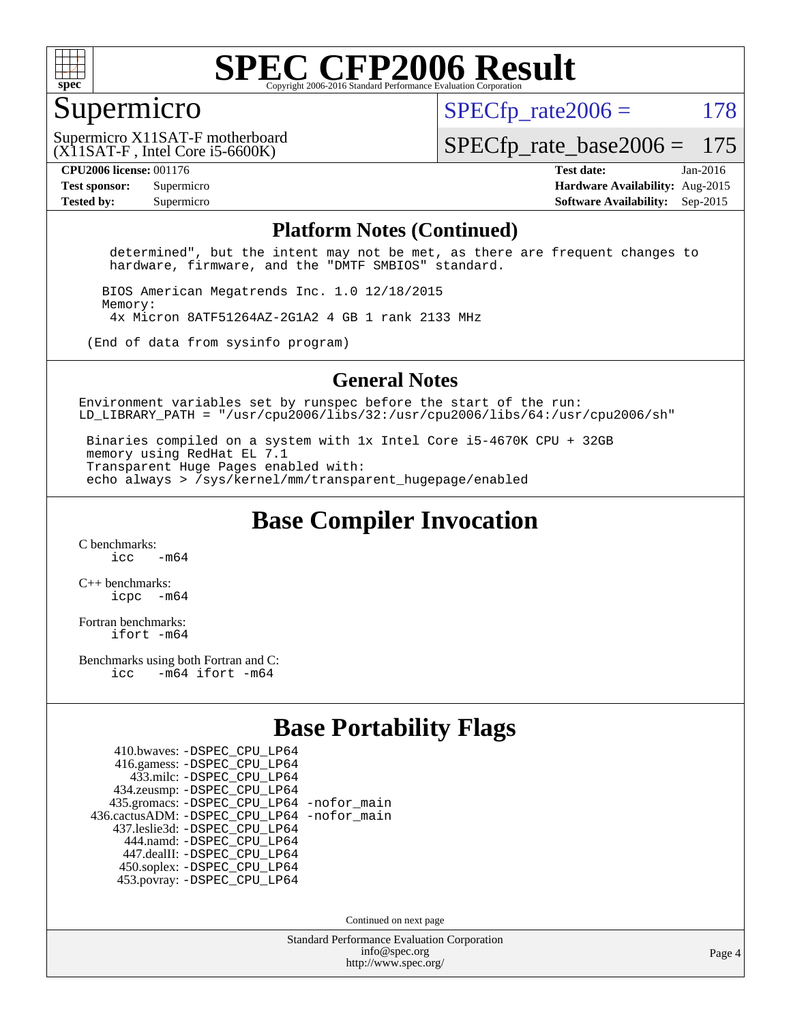![](_page_3_Picture_0.jpeg)

#### Supermicro

 $SPECTp\_rate2006 = 178$ 

[SPECfp\\_rate\\_base2006 =](http://www.spec.org/auto/cpu2006/Docs/result-fields.html#SPECfpratebase2006) 175

(X11SAT-F , Intel Core i5-6600K)

Supermicro X11SAT-F motherboard

**[CPU2006 license:](http://www.spec.org/auto/cpu2006/Docs/result-fields.html#CPU2006license)** 001176 **[Test date:](http://www.spec.org/auto/cpu2006/Docs/result-fields.html#Testdate)** Jan-2016 **[Test sponsor:](http://www.spec.org/auto/cpu2006/Docs/result-fields.html#Testsponsor)** Supermicro **[Hardware Availability:](http://www.spec.org/auto/cpu2006/Docs/result-fields.html#HardwareAvailability)** Aug-2015 **[Tested by:](http://www.spec.org/auto/cpu2006/Docs/result-fields.html#Testedby)** Supermicro **Supermicro [Software Availability:](http://www.spec.org/auto/cpu2006/Docs/result-fields.html#SoftwareAvailability)** Sep-2015

#### **[Platform Notes \(Continued\)](http://www.spec.org/auto/cpu2006/Docs/result-fields.html#PlatformNotes)**

 determined", but the intent may not be met, as there are frequent changes to hardware, firmware, and the "DMTF SMBIOS" standard.

 BIOS American Megatrends Inc. 1.0 12/18/2015 Memory: 4x Micron 8ATF51264AZ-2G1A2 4 GB 1 rank 2133 MHz

(End of data from sysinfo program)

#### **[General Notes](http://www.spec.org/auto/cpu2006/Docs/result-fields.html#GeneralNotes)**

Environment variables set by runspec before the start of the run: LD LIBRARY PATH = "/usr/cpu2006/libs/32:/usr/cpu2006/libs/64:/usr/cpu2006/sh"

 Binaries compiled on a system with 1x Intel Core i5-4670K CPU + 32GB memory using RedHat EL 7.1 Transparent Huge Pages enabled with: echo always > /sys/kernel/mm/transparent\_hugepage/enabled

**[Base Compiler Invocation](http://www.spec.org/auto/cpu2006/Docs/result-fields.html#BaseCompilerInvocation)**

[C benchmarks](http://www.spec.org/auto/cpu2006/Docs/result-fields.html#Cbenchmarks):  $\frac{1}{2}$   $\mathrm{c}$   $\mathrm{c}$   $\frac{1}{2}$   $\mathrm{m}$   $\mathrm{6}$   $\mathrm{4}$ 

[C++ benchmarks:](http://www.spec.org/auto/cpu2006/Docs/result-fields.html#CXXbenchmarks) [icpc -m64](http://www.spec.org/cpu2006/results/res2016q1/cpu2006-20160111-38643.flags.html#user_CXXbase_intel_icpc_64bit_bedb90c1146cab66620883ef4f41a67e)

[Fortran benchmarks](http://www.spec.org/auto/cpu2006/Docs/result-fields.html#Fortranbenchmarks): [ifort -m64](http://www.spec.org/cpu2006/results/res2016q1/cpu2006-20160111-38643.flags.html#user_FCbase_intel_ifort_64bit_ee9d0fb25645d0210d97eb0527dcc06e)

[Benchmarks using both Fortran and C](http://www.spec.org/auto/cpu2006/Docs/result-fields.html#BenchmarksusingbothFortranandC): [icc -m64](http://www.spec.org/cpu2006/results/res2016q1/cpu2006-20160111-38643.flags.html#user_CC_FCbase_intel_icc_64bit_0b7121f5ab7cfabee23d88897260401c) [ifort -m64](http://www.spec.org/cpu2006/results/res2016q1/cpu2006-20160111-38643.flags.html#user_CC_FCbase_intel_ifort_64bit_ee9d0fb25645d0210d97eb0527dcc06e)

#### **[Base Portability Flags](http://www.spec.org/auto/cpu2006/Docs/result-fields.html#BasePortabilityFlags)**

| 410.bwaves: - DSPEC CPU LP64                 |  |
|----------------------------------------------|--|
| 416.gamess: -DSPEC_CPU_LP64                  |  |
| 433.milc: -DSPEC CPU LP64                    |  |
| 434.zeusmp: -DSPEC_CPU_LP64                  |  |
| 435.gromacs: -DSPEC_CPU_LP64 -nofor_main     |  |
| 436.cactusADM: - DSPEC CPU LP64 - nofor main |  |
| 437.leslie3d: -DSPEC_CPU_LP64                |  |
| 444.namd: - DSPEC CPU LP64                   |  |
| 447.dealII: -DSPEC CPU LP64                  |  |
| 450.soplex: -DSPEC_CPU_LP64                  |  |
| 453.povray: -DSPEC CPU LP64                  |  |

Continued on next page

Standard Performance Evaluation Corporation [info@spec.org](mailto:info@spec.org) <http://www.spec.org/>

Page 4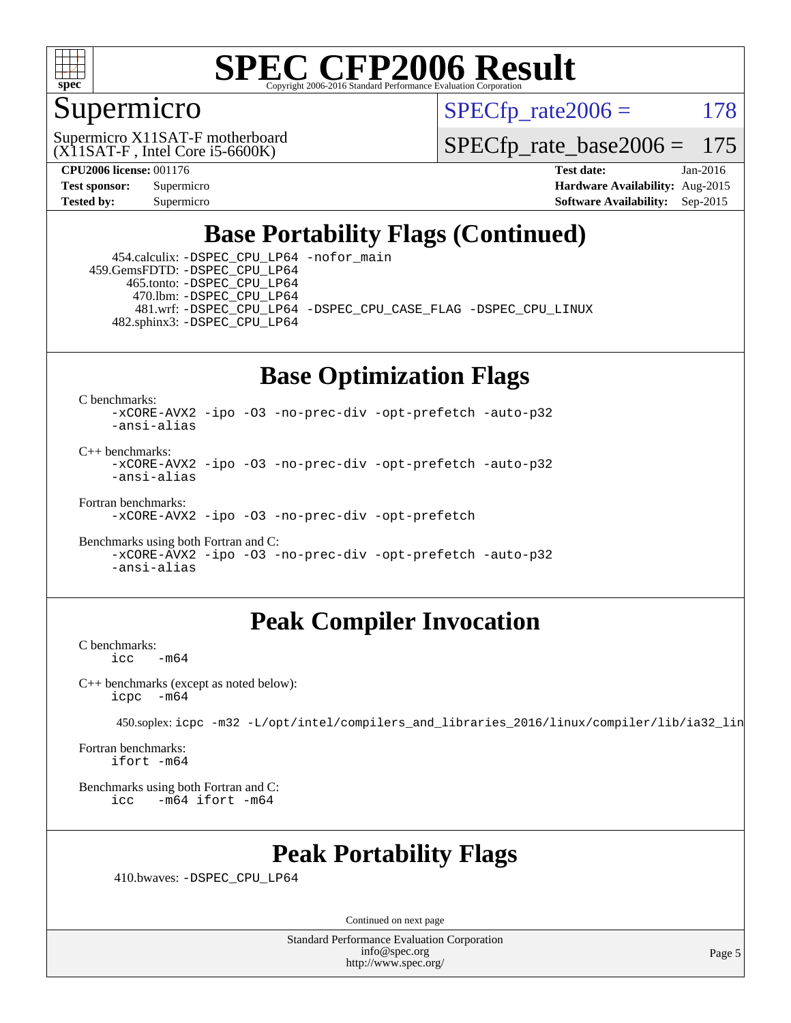![](_page_4_Picture_0.jpeg)

#### Supermicro

 $SPECTp\_rate2006 = 178$ 

(X11SAT-F , Intel Core i5-6600K) Supermicro X11SAT-F motherboard

[SPECfp\\_rate\\_base2006 =](http://www.spec.org/auto/cpu2006/Docs/result-fields.html#SPECfpratebase2006) 175

**[CPU2006 license:](http://www.spec.org/auto/cpu2006/Docs/result-fields.html#CPU2006license)** 001176 **[Test date:](http://www.spec.org/auto/cpu2006/Docs/result-fields.html#Testdate)** Jan-2016 **[Test sponsor:](http://www.spec.org/auto/cpu2006/Docs/result-fields.html#Testsponsor)** Supermicro **[Hardware Availability:](http://www.spec.org/auto/cpu2006/Docs/result-fields.html#HardwareAvailability)** Aug-2015 **[Tested by:](http://www.spec.org/auto/cpu2006/Docs/result-fields.html#Testedby)** Supermicro **Supermicro [Software Availability:](http://www.spec.org/auto/cpu2006/Docs/result-fields.html#SoftwareAvailability)** Sep-2015

### **[Base Portability Flags \(Continued\)](http://www.spec.org/auto/cpu2006/Docs/result-fields.html#BasePortabilityFlags)**

 454.calculix: [-DSPEC\\_CPU\\_LP64](http://www.spec.org/cpu2006/results/res2016q1/cpu2006-20160111-38643.flags.html#suite_basePORTABILITY454_calculix_DSPEC_CPU_LP64) [-nofor\\_main](http://www.spec.org/cpu2006/results/res2016q1/cpu2006-20160111-38643.flags.html#user_baseLDPORTABILITY454_calculix_f-nofor_main) 459.GemsFDTD: [-DSPEC\\_CPU\\_LP64](http://www.spec.org/cpu2006/results/res2016q1/cpu2006-20160111-38643.flags.html#suite_basePORTABILITY459_GemsFDTD_DSPEC_CPU_LP64) 465.tonto: [-DSPEC\\_CPU\\_LP64](http://www.spec.org/cpu2006/results/res2016q1/cpu2006-20160111-38643.flags.html#suite_basePORTABILITY465_tonto_DSPEC_CPU_LP64) 470.lbm: [-DSPEC\\_CPU\\_LP64](http://www.spec.org/cpu2006/results/res2016q1/cpu2006-20160111-38643.flags.html#suite_basePORTABILITY470_lbm_DSPEC_CPU_LP64) 481.wrf: [-DSPEC\\_CPU\\_LP64](http://www.spec.org/cpu2006/results/res2016q1/cpu2006-20160111-38643.flags.html#suite_basePORTABILITY481_wrf_DSPEC_CPU_LP64) [-DSPEC\\_CPU\\_CASE\\_FLAG](http://www.spec.org/cpu2006/results/res2016q1/cpu2006-20160111-38643.flags.html#b481.wrf_baseCPORTABILITY_DSPEC_CPU_CASE_FLAG) [-DSPEC\\_CPU\\_LINUX](http://www.spec.org/cpu2006/results/res2016q1/cpu2006-20160111-38643.flags.html#b481.wrf_baseCPORTABILITY_DSPEC_CPU_LINUX) 482.sphinx3: [-DSPEC\\_CPU\\_LP64](http://www.spec.org/cpu2006/results/res2016q1/cpu2006-20160111-38643.flags.html#suite_basePORTABILITY482_sphinx3_DSPEC_CPU_LP64)

### **[Base Optimization Flags](http://www.spec.org/auto/cpu2006/Docs/result-fields.html#BaseOptimizationFlags)**

[C benchmarks](http://www.spec.org/auto/cpu2006/Docs/result-fields.html#Cbenchmarks):

[-xCORE-AVX2](http://www.spec.org/cpu2006/results/res2016q1/cpu2006-20160111-38643.flags.html#user_CCbase_f-xAVX2_5f5fc0cbe2c9f62c816d3e45806c70d7) [-ipo](http://www.spec.org/cpu2006/results/res2016q1/cpu2006-20160111-38643.flags.html#user_CCbase_f-ipo) [-O3](http://www.spec.org/cpu2006/results/res2016q1/cpu2006-20160111-38643.flags.html#user_CCbase_f-O3) [-no-prec-div](http://www.spec.org/cpu2006/results/res2016q1/cpu2006-20160111-38643.flags.html#user_CCbase_f-no-prec-div) [-opt-prefetch](http://www.spec.org/cpu2006/results/res2016q1/cpu2006-20160111-38643.flags.html#user_CCbase_f-opt-prefetch) [-auto-p32](http://www.spec.org/cpu2006/results/res2016q1/cpu2006-20160111-38643.flags.html#user_CCbase_f-auto-p32) [-ansi-alias](http://www.spec.org/cpu2006/results/res2016q1/cpu2006-20160111-38643.flags.html#user_CCbase_f-ansi-alias)

 $C_{++}$  benchmarks: [-xCORE-AVX2](http://www.spec.org/cpu2006/results/res2016q1/cpu2006-20160111-38643.flags.html#user_CXXbase_f-xAVX2_5f5fc0cbe2c9f62c816d3e45806c70d7) [-ipo](http://www.spec.org/cpu2006/results/res2016q1/cpu2006-20160111-38643.flags.html#user_CXXbase_f-ipo) [-O3](http://www.spec.org/cpu2006/results/res2016q1/cpu2006-20160111-38643.flags.html#user_CXXbase_f-O3) [-no-prec-div](http://www.spec.org/cpu2006/results/res2016q1/cpu2006-20160111-38643.flags.html#user_CXXbase_f-no-prec-div) [-opt-prefetch](http://www.spec.org/cpu2006/results/res2016q1/cpu2006-20160111-38643.flags.html#user_CXXbase_f-opt-prefetch) [-auto-p32](http://www.spec.org/cpu2006/results/res2016q1/cpu2006-20160111-38643.flags.html#user_CXXbase_f-auto-p32) [-ansi-alias](http://www.spec.org/cpu2006/results/res2016q1/cpu2006-20160111-38643.flags.html#user_CXXbase_f-ansi-alias)

[Fortran benchmarks](http://www.spec.org/auto/cpu2006/Docs/result-fields.html#Fortranbenchmarks):

[-xCORE-AVX2](http://www.spec.org/cpu2006/results/res2016q1/cpu2006-20160111-38643.flags.html#user_FCbase_f-xAVX2_5f5fc0cbe2c9f62c816d3e45806c70d7) [-ipo](http://www.spec.org/cpu2006/results/res2016q1/cpu2006-20160111-38643.flags.html#user_FCbase_f-ipo) [-O3](http://www.spec.org/cpu2006/results/res2016q1/cpu2006-20160111-38643.flags.html#user_FCbase_f-O3) [-no-prec-div](http://www.spec.org/cpu2006/results/res2016q1/cpu2006-20160111-38643.flags.html#user_FCbase_f-no-prec-div) [-opt-prefetch](http://www.spec.org/cpu2006/results/res2016q1/cpu2006-20160111-38643.flags.html#user_FCbase_f-opt-prefetch)

[Benchmarks using both Fortran and C](http://www.spec.org/auto/cpu2006/Docs/result-fields.html#BenchmarksusingbothFortranandC): [-xCORE-AVX2](http://www.spec.org/cpu2006/results/res2016q1/cpu2006-20160111-38643.flags.html#user_CC_FCbase_f-xAVX2_5f5fc0cbe2c9f62c816d3e45806c70d7) [-ipo](http://www.spec.org/cpu2006/results/res2016q1/cpu2006-20160111-38643.flags.html#user_CC_FCbase_f-ipo) [-O3](http://www.spec.org/cpu2006/results/res2016q1/cpu2006-20160111-38643.flags.html#user_CC_FCbase_f-O3) [-no-prec-div](http://www.spec.org/cpu2006/results/res2016q1/cpu2006-20160111-38643.flags.html#user_CC_FCbase_f-no-prec-div) [-opt-prefetch](http://www.spec.org/cpu2006/results/res2016q1/cpu2006-20160111-38643.flags.html#user_CC_FCbase_f-opt-prefetch) [-auto-p32](http://www.spec.org/cpu2006/results/res2016q1/cpu2006-20160111-38643.flags.html#user_CC_FCbase_f-auto-p32) [-ansi-alias](http://www.spec.org/cpu2006/results/res2016q1/cpu2006-20160111-38643.flags.html#user_CC_FCbase_f-ansi-alias)

#### **[Peak Compiler Invocation](http://www.spec.org/auto/cpu2006/Docs/result-fields.html#PeakCompilerInvocation)**

[C benchmarks](http://www.spec.org/auto/cpu2006/Docs/result-fields.html#Cbenchmarks):  $-m64$ 

[C++ benchmarks \(except as noted below\):](http://www.spec.org/auto/cpu2006/Docs/result-fields.html#CXXbenchmarksexceptasnotedbelow) [icpc -m64](http://www.spec.org/cpu2006/results/res2016q1/cpu2006-20160111-38643.flags.html#user_CXXpeak_intel_icpc_64bit_bedb90c1146cab66620883ef4f41a67e)

450.soplex: [icpc -m32 -L/opt/intel/compilers\\_and\\_libraries\\_2016/linux/compiler/lib/ia32\\_lin](http://www.spec.org/cpu2006/results/res2016q1/cpu2006-20160111-38643.flags.html#user_peakCXXLD450_soplex_intel_icpc_b4f50a394bdb4597aa5879c16bc3f5c5)

[Fortran benchmarks](http://www.spec.org/auto/cpu2006/Docs/result-fields.html#Fortranbenchmarks): [ifort -m64](http://www.spec.org/cpu2006/results/res2016q1/cpu2006-20160111-38643.flags.html#user_FCpeak_intel_ifort_64bit_ee9d0fb25645d0210d97eb0527dcc06e)

[Benchmarks using both Fortran and C](http://www.spec.org/auto/cpu2006/Docs/result-fields.html#BenchmarksusingbothFortranandC): [icc -m64](http://www.spec.org/cpu2006/results/res2016q1/cpu2006-20160111-38643.flags.html#user_CC_FCpeak_intel_icc_64bit_0b7121f5ab7cfabee23d88897260401c) [ifort -m64](http://www.spec.org/cpu2006/results/res2016q1/cpu2006-20160111-38643.flags.html#user_CC_FCpeak_intel_ifort_64bit_ee9d0fb25645d0210d97eb0527dcc06e)

#### **[Peak Portability Flags](http://www.spec.org/auto/cpu2006/Docs/result-fields.html#PeakPortabilityFlags)**

410.bwaves: [-DSPEC\\_CPU\\_LP64](http://www.spec.org/cpu2006/results/res2016q1/cpu2006-20160111-38643.flags.html#suite_peakPORTABILITY410_bwaves_DSPEC_CPU_LP64)

Continued on next page

Standard Performance Evaluation Corporation [info@spec.org](mailto:info@spec.org) <http://www.spec.org/>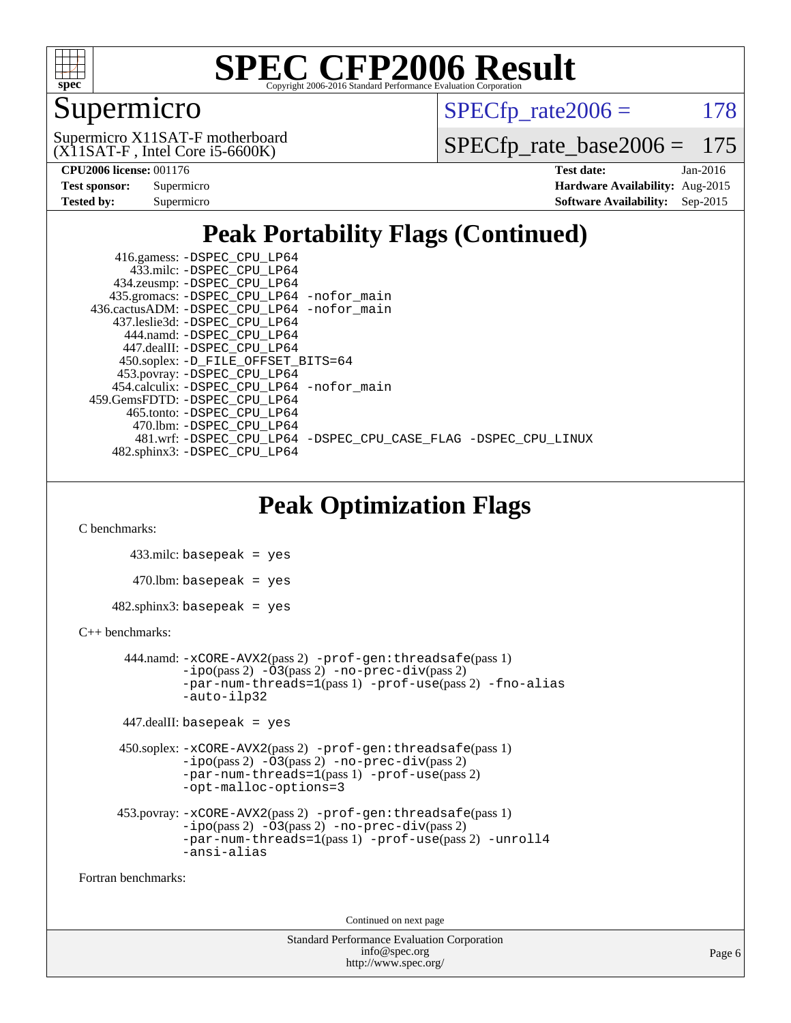![](_page_5_Picture_0.jpeg)

### Supermicro

 $SPECTp\_rate2006 = 178$ 

(X11SAT-F , Intel Core i5-6600K) Supermicro X11SAT-F motherboard

[SPECfp\\_rate\\_base2006 =](http://www.spec.org/auto/cpu2006/Docs/result-fields.html#SPECfpratebase2006) 175

**[CPU2006 license:](http://www.spec.org/auto/cpu2006/Docs/result-fields.html#CPU2006license)** 001176 **[Test date:](http://www.spec.org/auto/cpu2006/Docs/result-fields.html#Testdate)** Jan-2016

| <b>Test sponsor:</b> | Supermicro |
|----------------------|------------|
| <b>Tested by:</b>    | Supermicro |

**[Hardware Availability:](http://www.spec.org/auto/cpu2006/Docs/result-fields.html#HardwareAvailability)** Aug-2015 **[Software Availability:](http://www.spec.org/auto/cpu2006/Docs/result-fields.html#SoftwareAvailability)** Sep-2015

### **[Peak Portability Flags \(Continued\)](http://www.spec.org/auto/cpu2006/Docs/result-fields.html#PeakPortabilityFlags)**

 416.gamess: [-DSPEC\\_CPU\\_LP64](http://www.spec.org/cpu2006/results/res2016q1/cpu2006-20160111-38643.flags.html#suite_peakPORTABILITY416_gamess_DSPEC_CPU_LP64) 433.milc: [-DSPEC\\_CPU\\_LP64](http://www.spec.org/cpu2006/results/res2016q1/cpu2006-20160111-38643.flags.html#suite_peakPORTABILITY433_milc_DSPEC_CPU_LP64) 434.zeusmp: [-DSPEC\\_CPU\\_LP64](http://www.spec.org/cpu2006/results/res2016q1/cpu2006-20160111-38643.flags.html#suite_peakPORTABILITY434_zeusmp_DSPEC_CPU_LP64) 435.gromacs: [-DSPEC\\_CPU\\_LP64](http://www.spec.org/cpu2006/results/res2016q1/cpu2006-20160111-38643.flags.html#suite_peakPORTABILITY435_gromacs_DSPEC_CPU_LP64) [-nofor\\_main](http://www.spec.org/cpu2006/results/res2016q1/cpu2006-20160111-38643.flags.html#user_peakLDPORTABILITY435_gromacs_f-nofor_main) 436.cactusADM: [-DSPEC\\_CPU\\_LP64](http://www.spec.org/cpu2006/results/res2016q1/cpu2006-20160111-38643.flags.html#suite_peakPORTABILITY436_cactusADM_DSPEC_CPU_LP64) [-nofor\\_main](http://www.spec.org/cpu2006/results/res2016q1/cpu2006-20160111-38643.flags.html#user_peakLDPORTABILITY436_cactusADM_f-nofor_main) 437.leslie3d: [-DSPEC\\_CPU\\_LP64](http://www.spec.org/cpu2006/results/res2016q1/cpu2006-20160111-38643.flags.html#suite_peakPORTABILITY437_leslie3d_DSPEC_CPU_LP64) 444.namd: [-DSPEC\\_CPU\\_LP64](http://www.spec.org/cpu2006/results/res2016q1/cpu2006-20160111-38643.flags.html#suite_peakPORTABILITY444_namd_DSPEC_CPU_LP64) 447.dealII: [-DSPEC\\_CPU\\_LP64](http://www.spec.org/cpu2006/results/res2016q1/cpu2006-20160111-38643.flags.html#suite_peakPORTABILITY447_dealII_DSPEC_CPU_LP64) 450.soplex: [-D\\_FILE\\_OFFSET\\_BITS=64](http://www.spec.org/cpu2006/results/res2016q1/cpu2006-20160111-38643.flags.html#user_peakPORTABILITY450_soplex_file_offset_bits_64_438cf9856305ebd76870a2c6dc2689ab) 453.povray: [-DSPEC\\_CPU\\_LP64](http://www.spec.org/cpu2006/results/res2016q1/cpu2006-20160111-38643.flags.html#suite_peakPORTABILITY453_povray_DSPEC_CPU_LP64) 454.calculix: [-DSPEC\\_CPU\\_LP64](http://www.spec.org/cpu2006/results/res2016q1/cpu2006-20160111-38643.flags.html#suite_peakPORTABILITY454_calculix_DSPEC_CPU_LP64) [-nofor\\_main](http://www.spec.org/cpu2006/results/res2016q1/cpu2006-20160111-38643.flags.html#user_peakLDPORTABILITY454_calculix_f-nofor_main) 459.GemsFDTD: [-DSPEC\\_CPU\\_LP64](http://www.spec.org/cpu2006/results/res2016q1/cpu2006-20160111-38643.flags.html#suite_peakPORTABILITY459_GemsFDTD_DSPEC_CPU_LP64) 465.tonto: [-DSPEC\\_CPU\\_LP64](http://www.spec.org/cpu2006/results/res2016q1/cpu2006-20160111-38643.flags.html#suite_peakPORTABILITY465_tonto_DSPEC_CPU_LP64) 470.lbm: [-DSPEC\\_CPU\\_LP64](http://www.spec.org/cpu2006/results/res2016q1/cpu2006-20160111-38643.flags.html#suite_peakPORTABILITY470_lbm_DSPEC_CPU_LP64) 481.wrf: [-DSPEC\\_CPU\\_LP64](http://www.spec.org/cpu2006/results/res2016q1/cpu2006-20160111-38643.flags.html#suite_peakPORTABILITY481_wrf_DSPEC_CPU_LP64) [-DSPEC\\_CPU\\_CASE\\_FLAG](http://www.spec.org/cpu2006/results/res2016q1/cpu2006-20160111-38643.flags.html#b481.wrf_peakCPORTABILITY_DSPEC_CPU_CASE_FLAG) [-DSPEC\\_CPU\\_LINUX](http://www.spec.org/cpu2006/results/res2016q1/cpu2006-20160111-38643.flags.html#b481.wrf_peakCPORTABILITY_DSPEC_CPU_LINUX) 482.sphinx3: [-DSPEC\\_CPU\\_LP64](http://www.spec.org/cpu2006/results/res2016q1/cpu2006-20160111-38643.flags.html#suite_peakPORTABILITY482_sphinx3_DSPEC_CPU_LP64)

### **[Peak Optimization Flags](http://www.spec.org/auto/cpu2006/Docs/result-fields.html#PeakOptimizationFlags)**

[C benchmarks](http://www.spec.org/auto/cpu2006/Docs/result-fields.html#Cbenchmarks):

 433.milc: basepeak = yes  $470$ .lbm: basepeak = yes  $482$ .sphinx $3$ : basepeak = yes

#### [C++ benchmarks:](http://www.spec.org/auto/cpu2006/Docs/result-fields.html#CXXbenchmarks)

```
 444.namd: -xCORE-AVX2(pass 2) -prof-gen:threadsafe(pass 1)
       -no-prec-div(pass 2)-par-num-threads=1(pass 1) -prof-use(pass 2) -fno-alias
       -auto-ilp32
```

```
 447.dealII: basepeak = yes
```

```
 450.soplex: -xCORE-AVX2(pass 2) -prof-gen:threadsafe(pass 1)
          -i\text{po}(pass 2) -\overline{O}3(pass 2)-no-prec-div(pass 2)
          -par-num-threads=1(pass 1) -prof-use(pass 2)
          -opt-malloc-options=3
```

```
 453.povray: -xCORE-AVX2(pass 2) -prof-gen:threadsafe(pass 1)
          -i\text{po}(pass 2) -\tilde{O}3(pass 2)-no-prec-div(pass 2)
          -par-num-threads=1(pass 1) -prof-use(pass 2) -unroll4
          -ansi-alias
```
[Fortran benchmarks](http://www.spec.org/auto/cpu2006/Docs/result-fields.html#Fortranbenchmarks):

Continued on next page

Standard Performance Evaluation Corporation [info@spec.org](mailto:info@spec.org) <http://www.spec.org/>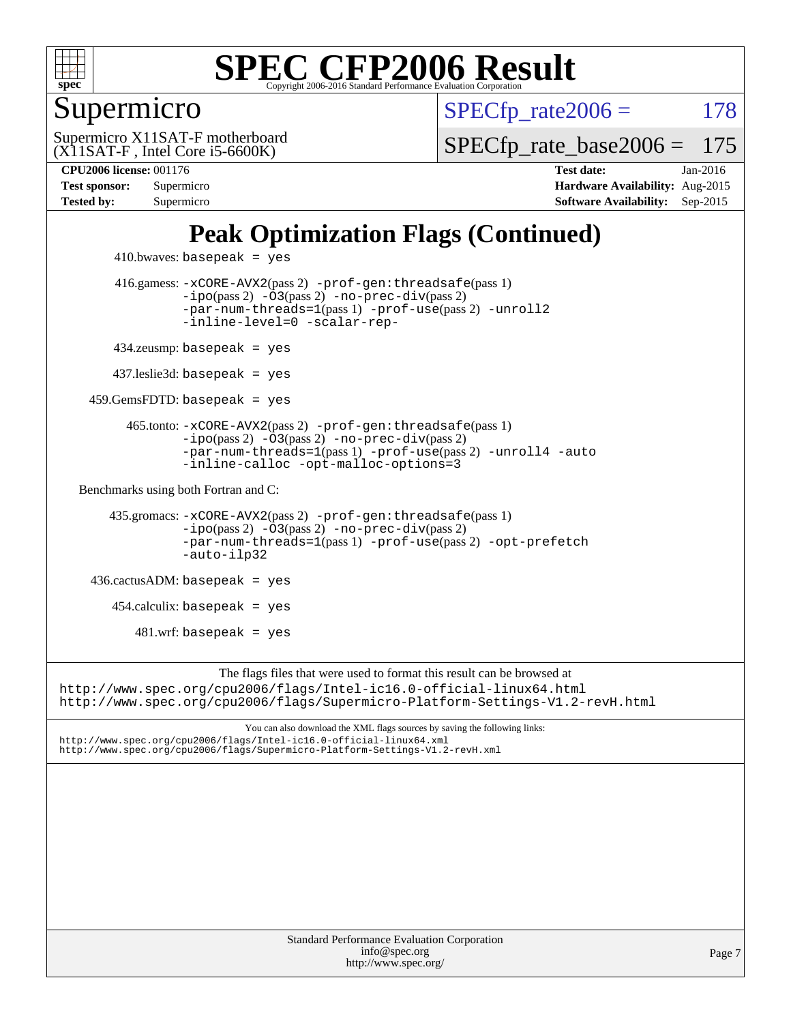![](_page_6_Picture_0.jpeg)

#### Supermicro

 $SPECTp\_rate2006 = 178$ 

 $(X11SAT-F, Intel Core i5-6600K)$ Supermicro X11SAT-F motherboard [SPECfp\\_rate\\_base2006 =](http://www.spec.org/auto/cpu2006/Docs/result-fields.html#SPECfpratebase2006) 175

**[CPU2006 license:](http://www.spec.org/auto/cpu2006/Docs/result-fields.html#CPU2006license)** 001176 **[Test date:](http://www.spec.org/auto/cpu2006/Docs/result-fields.html#Testdate)** Jan-2016 **[Test sponsor:](http://www.spec.org/auto/cpu2006/Docs/result-fields.html#Testsponsor)** Supermicro **[Hardware Availability:](http://www.spec.org/auto/cpu2006/Docs/result-fields.html#HardwareAvailability)** Aug-2015 **[Tested by:](http://www.spec.org/auto/cpu2006/Docs/result-fields.html#Testedby)** Supermicro **Supermicro [Software Availability:](http://www.spec.org/auto/cpu2006/Docs/result-fields.html#SoftwareAvailability)** Sep-2015

### **[Peak Optimization Flags \(Continued\)](http://www.spec.org/auto/cpu2006/Docs/result-fields.html#PeakOptimizationFlags)**

```
410.bwaves: basepeak = yes 416.gamess: -xCORE-AVX2(pass 2) -prof-gen:threadsafe(pass 1)
                  -no-prec-div(pass 2)-par-num-threads=1(pass 1) -prof-use(pass 2) -unroll2
                  -inline-level=0 -scalar-rep-
         434.zeusmp: basepeak = yes
        437.leslie3d: basepeak = yes
     459.GemsFDTD: basepeak = yes
          465.tonto: -xCORE-AVX2(pass 2) -prof-gen:threadsafe(pass 1)
                  -no-prec-div(pass 2)-par-num-threads=1(pass 1) -prof-use(pass 2) -unroll4 -auto
                  -inline-calloc -opt-malloc-options=3
  Benchmarks using both Fortran and C: 
        435.gromacs: -xCORE-AVX2(pass 2) -prof-gen:threadsafe(pass 1)
                  -no-prec-div(pass 2)-par-num-threads=1(pass 1) -prof-use(pass 2) -opt-prefetch
                  -auto-ilp32
     436.cactusADM: basepeak = yes
       454.calculix: basepeak = yes
           481.wrf: basepeak = yes
                       The flags files that were used to format this result can be browsed at
http://www.spec.org/cpu2006/flags/Intel-ic16.0-official-linux64.html
http://www.spec.org/cpu2006/flags/Supermicro-Platform-Settings-V1.2-revH.html
                           You can also download the XML flags sources by saving the following links:
http://www.spec.org/cpu2006/flags/Intel-ic16.0-official-linux64.xml
http://www.spec.org/cpu2006/flags/Supermicro-Platform-Settings-V1.2-revH.xml
```